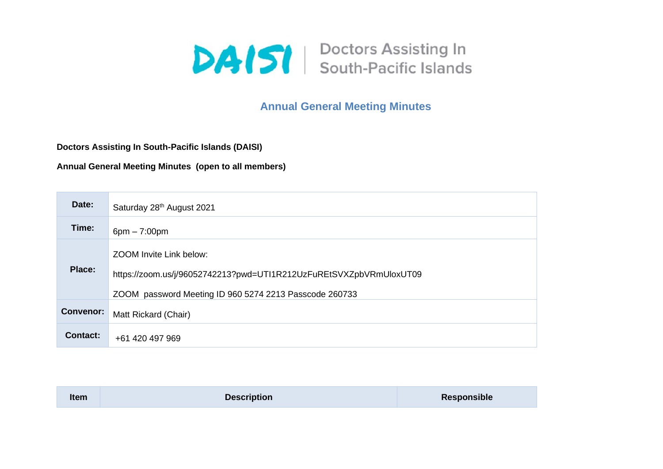

## **Annual General Meeting Minutes**

**Doctors Assisting In South-Pacific Islands (DAISI)**

**Annual General Meeting Minutes (open to all members)**

| Date:            | Saturday 28th August 2021                                                                                                                               |
|------------------|---------------------------------------------------------------------------------------------------------------------------------------------------------|
| Time:            | $6pm - 7:00pm$                                                                                                                                          |
| <b>Place:</b>    | ZOOM Invite Link below:<br>https://zoom.us/j/96052742213?pwd=UTI1R212UzFuREtSVXZpbVRmUloxUT09<br>ZOOM password Meeting ID 960 5274 2213 Passcode 260733 |
| <b>Convenor:</b> | Matt Rickard (Chair)                                                                                                                                    |
| Contact:         | +61 420 497 969                                                                                                                                         |

| Item | <b>Description</b> | Responsible |
|------|--------------------|-------------|
|------|--------------------|-------------|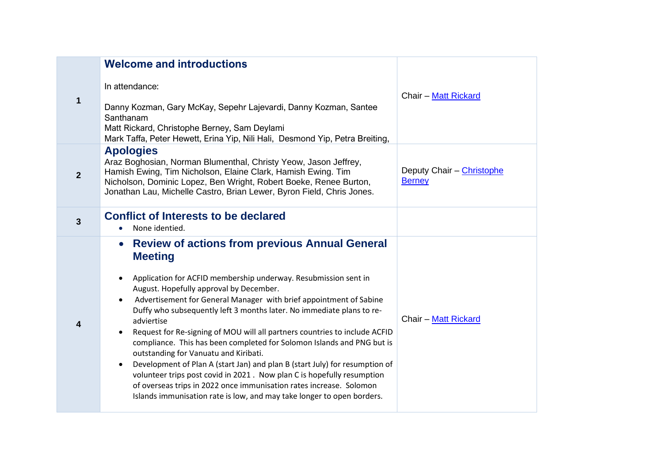|                | <b>Welcome and introductions</b>                                                                                                                                                                                                                                                                                                                                                                                                                                                                                                                                                                                                                                                                                                                                                                                                                                                                                               |                                            |
|----------------|--------------------------------------------------------------------------------------------------------------------------------------------------------------------------------------------------------------------------------------------------------------------------------------------------------------------------------------------------------------------------------------------------------------------------------------------------------------------------------------------------------------------------------------------------------------------------------------------------------------------------------------------------------------------------------------------------------------------------------------------------------------------------------------------------------------------------------------------------------------------------------------------------------------------------------|--------------------------------------------|
| $\mathbf 1$    | In attendance:<br>Danny Kozman, Gary McKay, Sepehr Lajevardi, Danny Kozman, Santee<br>Santhanam<br>Matt Rickard, Christophe Berney, Sam Deylami<br>Mark Taffa, Peter Hewett, Erina Yip, Nili Hali, Desmond Yip, Petra Breiting,                                                                                                                                                                                                                                                                                                                                                                                                                                                                                                                                                                                                                                                                                                | <b>Chair - Matt Rickard</b>                |
| $\overline{2}$ | <b>Apologies</b><br>Araz Boghosian, Norman Blumenthal, Christy Yeow, Jason Jeffrey,<br>Hamish Ewing, Tim Nicholson, Elaine Clark, Hamish Ewing. Tim<br>Nicholson, Dominic Lopez, Ben Wright, Robert Boeke, Renee Burton,<br>Jonathan Lau, Michelle Castro, Brian Lewer, Byron Field, Chris Jones.                                                                                                                                                                                                                                                                                                                                                                                                                                                                                                                                                                                                                              | Deputy Chair - Christophe<br><b>Berney</b> |
| $\overline{3}$ | <b>Conflict of Interests to be declared</b><br>None identied.<br>$\bullet$                                                                                                                                                                                                                                                                                                                                                                                                                                                                                                                                                                                                                                                                                                                                                                                                                                                     |                                            |
| 4              | <b>Review of actions from previous Annual General</b><br>$\bullet$<br><b>Meeting</b><br>Application for ACFID membership underway. Resubmission sent in<br>$\bullet$<br>August. Hopefully approval by December.<br>Advertisement for General Manager with brief appointment of Sabine<br>$\bullet$<br>Duffy who subsequently left 3 months later. No immediate plans to re-<br>adviertise<br>Request for Re-signing of MOU will all partners countries to include ACFID<br>$\bullet$<br>compliance. This has been completed for Solomon Islands and PNG but is<br>outstanding for Vanuatu and Kiribati.<br>Development of Plan A (start Jan) and plan B (start July) for resumption of<br>$\bullet$<br>volunteer trips post covid in 2021. Now plan C is hopefully resumption<br>of overseas trips in 2022 once immunisation rates increase. Solomon<br>Islands immunisation rate is low, and may take longer to open borders. | <b>Chair - Matt Rickard</b>                |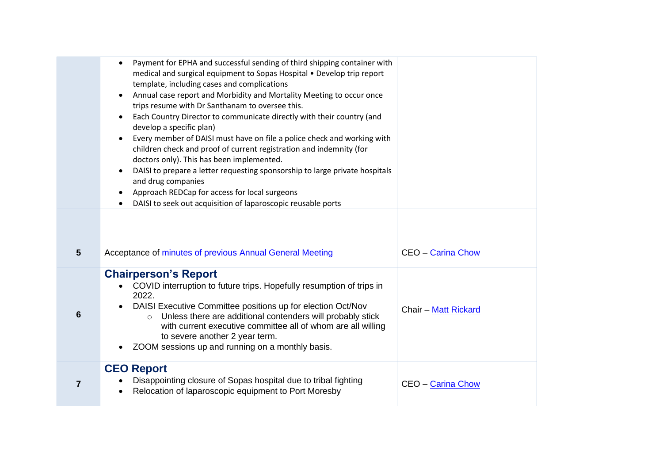|                | Payment for EPHA and successful sending of third shipping container with<br>$\bullet$<br>medical and surgical equipment to Sopas Hospital . Develop trip report<br>template, including cases and complications<br>Annual case report and Morbidity and Mortality Meeting to occur once<br>$\bullet$<br>trips resume with Dr Santhanam to oversee this.<br>Each Country Director to communicate directly with their country (and<br>٠<br>develop a specific plan)<br>Every member of DAISI must have on file a police check and working with<br>$\bullet$<br>children check and proof of current registration and indemnity (for<br>doctors only). This has been implemented. |                             |
|----------------|------------------------------------------------------------------------------------------------------------------------------------------------------------------------------------------------------------------------------------------------------------------------------------------------------------------------------------------------------------------------------------------------------------------------------------------------------------------------------------------------------------------------------------------------------------------------------------------------------------------------------------------------------------------------------|-----------------------------|
|                | DAISI to prepare a letter requesting sponsorship to large private hospitals<br>$\bullet$<br>and drug companies<br>Approach REDCap for access for local surgeons<br>DAISI to seek out acquisition of laparoscopic reusable ports                                                                                                                                                                                                                                                                                                                                                                                                                                              |                             |
|                |                                                                                                                                                                                                                                                                                                                                                                                                                                                                                                                                                                                                                                                                              |                             |
| $5\phantom{1}$ | Acceptance of minutes of previous Annual General Meeting                                                                                                                                                                                                                                                                                                                                                                                                                                                                                                                                                                                                                     | CEO - Carina Chow           |
| 6              | <b>Chairperson's Report</b><br>COVID interruption to future trips. Hopefully resumption of trips in<br>2022.<br>DAISI Executive Committee positions up for election Oct/Nov<br>Unless there are additional contenders will probably stick<br>$\circ$<br>with current executive committee all of whom are all willing<br>to severe another 2 year term.<br>ZOOM sessions up and running on a monthly basis.<br>$\bullet$                                                                                                                                                                                                                                                      | <b>Chair - Matt Rickard</b> |
| $\overline{7}$ | <b>CEO Report</b><br>Disappointing closure of Sopas hospital due to tribal fighting<br>Relocation of laparoscopic equipment to Port Moresby                                                                                                                                                                                                                                                                                                                                                                                                                                                                                                                                  | <b>CEO - Carina Chow</b>    |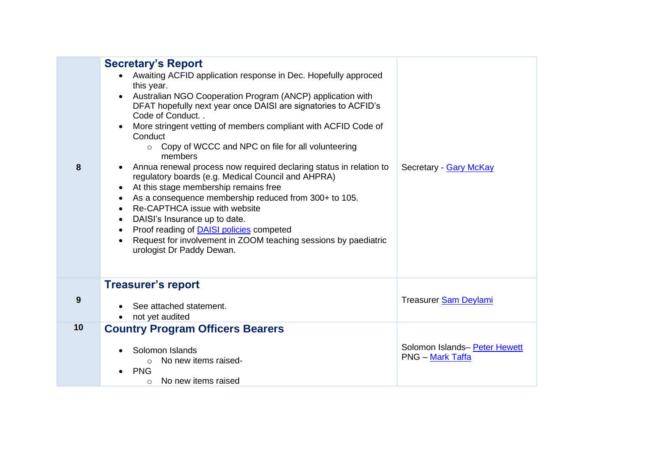| <b>Secretary's Report</b><br>Awaiting ACFID application response in Dec. Hopefully approced<br>this year.<br>Australian NGO Cooperation Program (ANCP) application with<br>$\bullet$<br>DFAT hopefully next year once DAISI are signatories to ACFID's<br>Code of Conduct<br>More stringent vetting of members compliant with ACFID Code of<br>Conduct<br>Copy of WCCC and NPC on file for all volunteering<br>$\circ$<br>members<br>Annua renewal process now required declaring status in relation to<br>$\bullet$<br>regulatory boards (e.g. Medical Council and AHPRA)<br>At this stage membership remains free<br>$\bullet$<br>As a consequence membership reduced from 300+ to 105.<br>٠<br>Re-CAPTHCA issue with website<br>$\bullet$<br>DAISI's Insurance up to date.<br>$\bullet$<br>Proof reading of <b>DAISI</b> policies competed<br>$\bullet$<br>Request for involvement in ZOOM teaching sessions by paediatric<br>$\bullet$<br>urologist Dr Paddy Dewan. | Secretary - Gary McKay                                   |
|-------------------------------------------------------------------------------------------------------------------------------------------------------------------------------------------------------------------------------------------------------------------------------------------------------------------------------------------------------------------------------------------------------------------------------------------------------------------------------------------------------------------------------------------------------------------------------------------------------------------------------------------------------------------------------------------------------------------------------------------------------------------------------------------------------------------------------------------------------------------------------------------------------------------------------------------------------------------------|----------------------------------------------------------|
|                                                                                                                                                                                                                                                                                                                                                                                                                                                                                                                                                                                                                                                                                                                                                                                                                                                                                                                                                                         |                                                          |
| <b>Treasurer's report</b><br>See attached statement.<br>not yet audited                                                                                                                                                                                                                                                                                                                                                                                                                                                                                                                                                                                                                                                                                                                                                                                                                                                                                                 | Treasurer Sam Deylami                                    |
| <b>Country Program Officers Bearers</b><br>Solomon Islands                                                                                                                                                                                                                                                                                                                                                                                                                                                                                                                                                                                                                                                                                                                                                                                                                                                                                                              | Solomon Islands- Peter Hewett<br><b>PNG – Mark Taffa</b> |
|                                                                                                                                                                                                                                                                                                                                                                                                                                                                                                                                                                                                                                                                                                                                                                                                                                                                                                                                                                         | No new items raised-<br>$\circ$                          |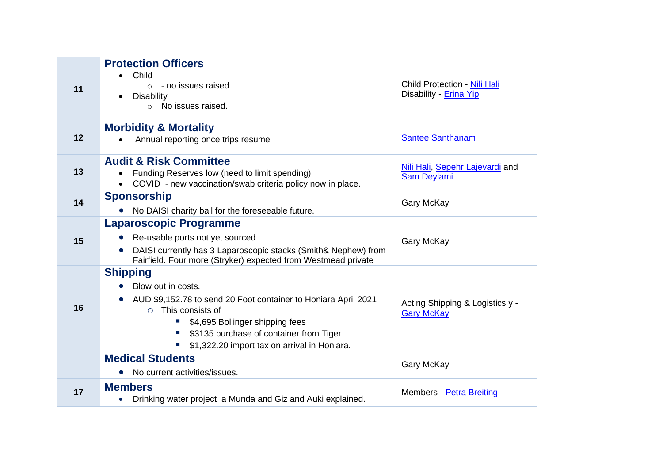| 11 | <b>Protection Officers</b><br>Child<br>- no issues raised<br>$\circ$<br><b>Disability</b><br>No issues raised.<br>$\circ$                                                                                                                                              | Child Protection - Nili Hali<br>Disability - Erina Yip |
|----|------------------------------------------------------------------------------------------------------------------------------------------------------------------------------------------------------------------------------------------------------------------------|--------------------------------------------------------|
| 12 | <b>Morbidity &amp; Mortality</b><br>Annual reporting once trips resume                                                                                                                                                                                                 | <b>Santee Santhanam</b>                                |
| 13 | <b>Audit &amp; Risk Committee</b><br>Funding Reserves low (need to limit spending)<br>COVID - new vaccination/swab criteria policy now in place.                                                                                                                       | Nili Hali, Sepehr Lajevardi and<br><b>Sam Deylami</b>  |
| 14 | <b>Sponsorship</b><br>No DAISI charity ball for the foreseeable future.                                                                                                                                                                                                | Gary McKay                                             |
| 15 | <b>Laparoscopic Programme</b><br>Re-usable ports not yet sourced<br>$\bullet$<br>DAISI currently has 3 Laparoscopic stacks (Smith& Nephew) from<br>Fairfield. Four more (Stryker) expected from Westmead private                                                       | Gary McKay                                             |
| 16 | <b>Shipping</b><br>Blow out in costs.<br>AUD \$9,152.78 to send 20 Foot container to Honiara April 2021<br>This consists of<br>$\bigcap$<br>\$4,695 Bollinger shipping fees<br>\$3135 purchase of container from Tiger<br>\$1,322.20 import tax on arrival in Honiara. | Acting Shipping & Logistics y -<br><b>Gary McKay</b>   |
|    | <b>Medical Students</b><br>No current activities/issues.                                                                                                                                                                                                               | <b>Gary McKay</b>                                      |
| 17 | <b>Members</b><br>Drinking water project a Munda and Giz and Auki explained.                                                                                                                                                                                           | Members - Petra Breiting                               |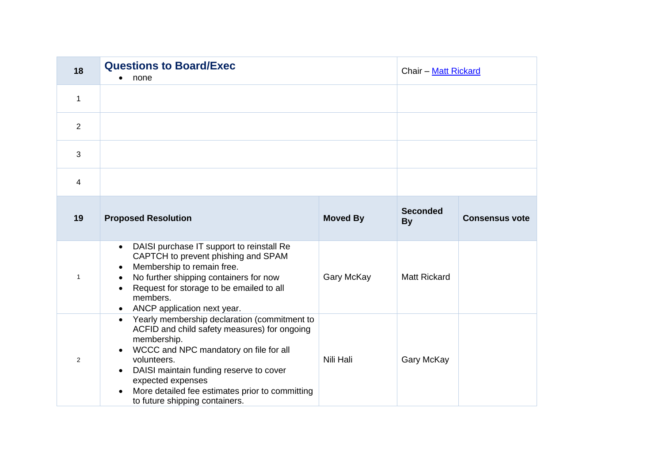| 18             | <b>Questions to Board/Exec</b><br>none                                                                                                                                                                                                                                                                                                 |                 | Chair - Matt Rickard         |                       |
|----------------|----------------------------------------------------------------------------------------------------------------------------------------------------------------------------------------------------------------------------------------------------------------------------------------------------------------------------------------|-----------------|------------------------------|-----------------------|
| 1              |                                                                                                                                                                                                                                                                                                                                        |                 |                              |                       |
| 2              |                                                                                                                                                                                                                                                                                                                                        |                 |                              |                       |
| $\mathbf{3}$   |                                                                                                                                                                                                                                                                                                                                        |                 |                              |                       |
| 4              |                                                                                                                                                                                                                                                                                                                                        |                 |                              |                       |
| 19             | <b>Proposed Resolution</b>                                                                                                                                                                                                                                                                                                             | <b>Moved By</b> | <b>Seconded</b><br><b>By</b> | <b>Consensus vote</b> |
| $\mathbf{1}$   | DAISI purchase IT support to reinstall Re<br>$\bullet$<br>CAPTCH to prevent phishing and SPAM<br>Membership to remain free.<br>No further shipping containers for now<br>Request for storage to be emailed to all<br>$\bullet$<br>members.<br>ANCP application next year.                                                              | Gary McKay      | <b>Matt Rickard</b>          |                       |
| $\overline{2}$ | Yearly membership declaration (commitment to<br>$\bullet$<br>ACFID and child safety measures) for ongoing<br>membership.<br>WCCC and NPC mandatory on file for all<br>volunteers.<br>DAISI maintain funding reserve to cover<br>expected expenses<br>More detailed fee estimates prior to committing<br>to future shipping containers. | Nili Hali       | <b>Gary McKay</b>            |                       |